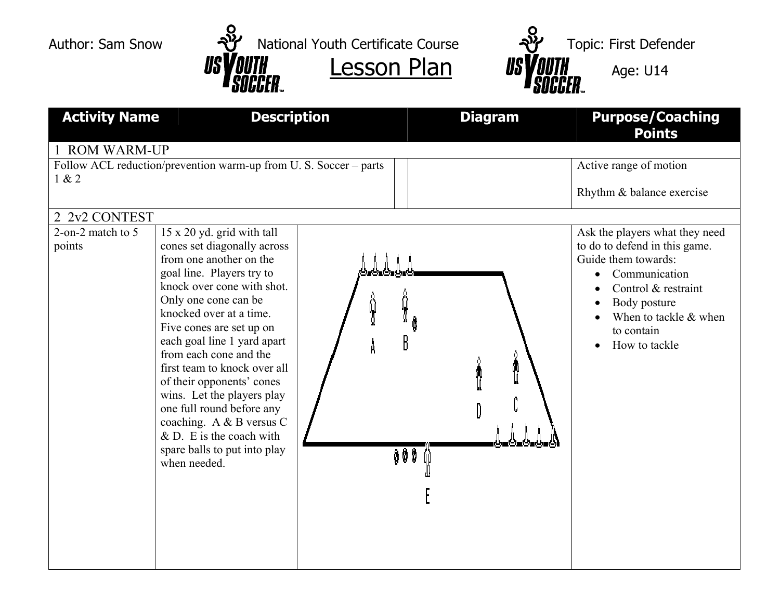



Activity Name **Description Diagram Purpose/Coaching Points** 1 ROM WARM-UP Follow ACL reduction/prevention warm-up from U. S. Soccer – parts Active range of m otion 1 & 2 Rhythm & balance exercise 2 2v2 CONTEST 15 x 20 yd. grid with tall Ask the players what they need 2-on-2 match to 5 cones set diagonally across points to do to defend in this gam e. from one another on the Guide them towards: goal line. Players try to • Communication knock over cone with shot. • Control & restraint Only one cone can be Body posture knocked over at a time. • When to tackle & when Five cones are set up on to contain each goal line 1 yard apart • How to tackle from each cone and the first team to knock over all of their opponents' cones wins. Let the players play one full round before any coaching. A & B versus C  $&$  D. E is the coach with spare balls to put into play 999 when needed<sup>1</sup>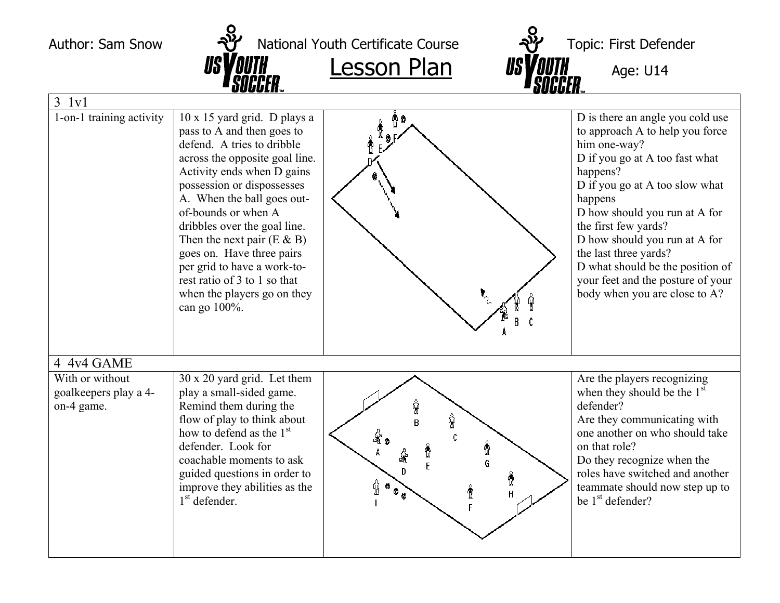Author: Sam Snow  $\frac{N}{2}$  National Youth Certificate Course  $\frac{N}{2}$  Topic: First Defender  $Lesson Plan$  *USVOUTH* Age: U14</u>

| UUUULII…<br>DUODIN                                     |                                                                                                                                                                                                                                                                                                                                                                                                                                                        |                                                |                                                                                                                                                                                                                                                                                                                                                                                                             |
|--------------------------------------------------------|--------------------------------------------------------------------------------------------------------------------------------------------------------------------------------------------------------------------------------------------------------------------------------------------------------------------------------------------------------------------------------------------------------------------------------------------------------|------------------------------------------------|-------------------------------------------------------------------------------------------------------------------------------------------------------------------------------------------------------------------------------------------------------------------------------------------------------------------------------------------------------------------------------------------------------------|
| $3$ $1v1$                                              |                                                                                                                                                                                                                                                                                                                                                                                                                                                        |                                                |                                                                                                                                                                                                                                                                                                                                                                                                             |
| $1$ -on-1 training activity                            | 10 x 15 yard grid. D plays a<br>pass to A and then goes to<br>defend. A tries to dribble<br>across the opposite goal line.<br>Activity ends when D gains<br>possession or dispossesses<br>A. When the ball goes out-<br>of-bounds or when A<br>dribbles over the goal line.<br>Then the next pair $(E & B)$<br>goes on. Have three pairs<br>per grid to have a work-to-<br>rest ratio of 3 to 1 so that<br>when the players go on they<br>can go 100%. |                                                | D is there an angle you cold use<br>to approach A to help you force<br>him one-way?<br>D if you go at A too fast what<br>happens?<br>D if you go at A too slow what<br>happens<br>D how should you run at A for<br>the first few yards?<br>D how should you run at A for<br>the last three yards?<br>D what should be the position of<br>your feet and the posture of your<br>body when you are close to A? |
| 4 4v4 GAME                                             |                                                                                                                                                                                                                                                                                                                                                                                                                                                        |                                                |                                                                                                                                                                                                                                                                                                                                                                                                             |
| With or without<br>goalkeepers play a 4-<br>on-4 game. | 30 x 20 yard grid. Let them<br>play a small-sided game.<br>Remind them during the<br>flow of play to think about<br>how to defend as the $1st$<br>defender. Look for<br>coachable moments to ask<br>guided questions in order to<br>improve they abilities as the<br>1 <sup>st</sup> defender.                                                                                                                                                         | ŷ<br>髢<br>F<br>D.<br>⋔<br>$\mathbf{\degree}$ , | Are the players recognizing<br>when they should be the $1st$<br>defender?<br>Are they communicating with<br>one another on who should take<br>on that role?<br>Do they recognize when the<br>roles have switched and another<br>teammate should now step up to<br>be 1 <sup>st</sup> defender?                                                                                                              |